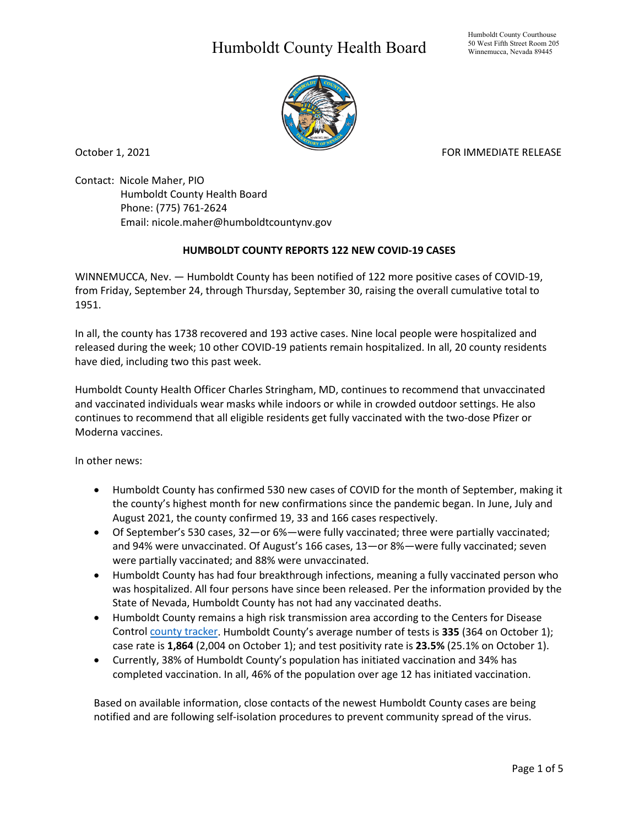## Humboldt County Health Board



October 1, 2021 FOR IMMEDIATE RELEASE

Contact: Nicole Maher, PIO Humboldt County Health Board Phone: (775) 761-2624 Email: nicole.maher@humboldtcountynv.gov

## **HUMBOLDT COUNTY REPORTS 122 NEW COVID-19 CASES**

WINNEMUCCA, Nev. — Humboldt County has been notified of 122 more positive cases of COVID-19, from Friday, September 24, through Thursday, September 30, raising the overall cumulative total to 1951.

In all, the county has 1738 recovered and 193 active cases. Nine local people were hospitalized and released during the week; 10 other COVID-19 patients remain hospitalized. In all, 20 county residents have died, including two this past week.

Humboldt County Health Officer Charles Stringham, MD, continues to recommend that unvaccinated and vaccinated individuals wear masks while indoors or while in crowded outdoor settings. He also continues to recommend that all eligible residents get fully vaccinated with the two-dose Pfizer or Moderna vaccines.

In other news:

- Humboldt County has confirmed 530 new cases of COVID for the month of September, making it the county's highest month for new confirmations since the pandemic began. In June, July and August 2021, the county confirmed 19, 33 and 166 cases respectively.
- Of September's 530 cases, 32—or 6%—were fully vaccinated; three were partially vaccinated; and 94% were unvaccinated. Of August's 166 cases, 13—or 8%—were fully vaccinated; seven were partially vaccinated; and 88% were unvaccinated.
- Humboldt County has had four breakthrough infections, meaning a fully vaccinated person who was hospitalized. All four persons have since been released. Per the information provided by the State of Nevada, Humboldt County has not had any vaccinated deaths.
- Humboldt County remains a high risk transmission area according to the Centers for Disease Control [county tracker.](https://covid.cdc.gov/covid-data-tracker/#county-view) Humboldt County's average number of tests is **335** (364 on October 1); case rate is **1,864** (2,004 on October 1); and test positivity rate is **23.5%** (25.1% on October 1).
- Currently, 38% of Humboldt County's population has initiated vaccination and 34% has completed vaccination. In all, 46% of the population over age 12 has initiated vaccination.

Based on available information, close contacts of the newest Humboldt County cases are being notified and are following self-isolation procedures to prevent community spread of the virus.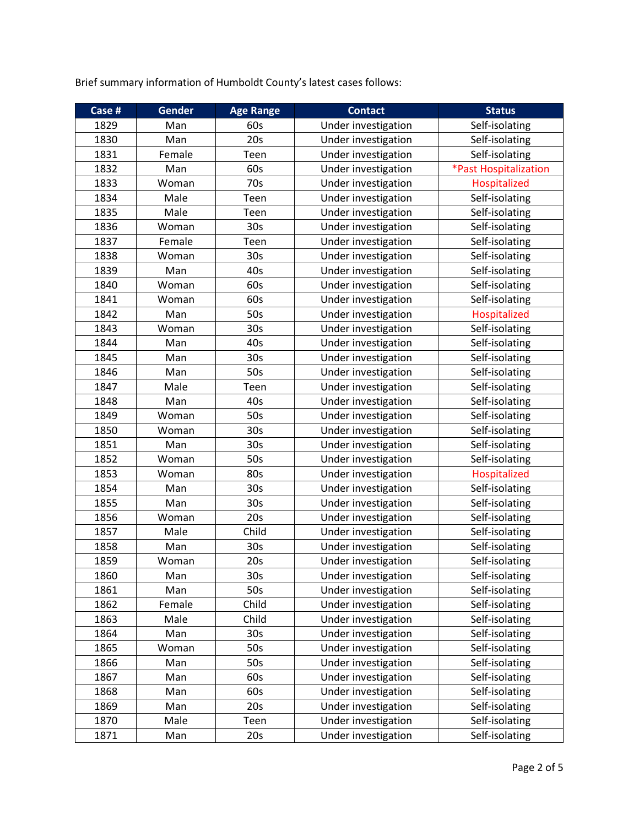Brief summary information of Humboldt County's latest cases follows:

| Case # | <b>Gender</b> | <b>Age Range</b> | <b>Contact</b>      | <b>Status</b>         |
|--------|---------------|------------------|---------------------|-----------------------|
| 1829   | Man           | 60s              | Under investigation | Self-isolating        |
| 1830   | Man           | 20s              | Under investigation | Self-isolating        |
| 1831   | Female        | Teen             | Under investigation | Self-isolating        |
| 1832   | Man           | 60s              | Under investigation | *Past Hospitalization |
| 1833   | Woman         | 70s              | Under investigation | Hospitalized          |
| 1834   | Male          | Teen             | Under investigation | Self-isolating        |
| 1835   | Male          | Teen             | Under investigation | Self-isolating        |
| 1836   | Woman         | 30 <sub>s</sub>  | Under investigation | Self-isolating        |
| 1837   | Female        | Teen             | Under investigation | Self-isolating        |
| 1838   | Woman         | 30 <sub>s</sub>  | Under investigation | Self-isolating        |
| 1839   | Man           | 40s              | Under investigation | Self-isolating        |
| 1840   | Woman         | 60s              | Under investigation | Self-isolating        |
| 1841   | Woman         | 60s              | Under investigation | Self-isolating        |
| 1842   | Man           | 50s              | Under investigation | Hospitalized          |
| 1843   | Woman         | 30s              | Under investigation | Self-isolating        |
| 1844   | Man           | 40s              | Under investigation | Self-isolating        |
| 1845   | Man           | 30 <sub>s</sub>  | Under investigation | Self-isolating        |
| 1846   | Man           | 50s              | Under investigation | Self-isolating        |
| 1847   | Male          | Teen             | Under investigation | Self-isolating        |
| 1848   | Man           | 40s              | Under investigation | Self-isolating        |
| 1849   | Woman         | 50s              | Under investigation | Self-isolating        |
| 1850   | Woman         | 30 <sub>s</sub>  | Under investigation | Self-isolating        |
| 1851   | Man           | 30 <sub>s</sub>  | Under investigation | Self-isolating        |
| 1852   | Woman         | 50s              | Under investigation | Self-isolating        |
| 1853   | Woman         | 80s              | Under investigation | Hospitalized          |
| 1854   | Man           | 30 <sub>s</sub>  | Under investigation | Self-isolating        |
| 1855   | Man           | 30 <sub>s</sub>  | Under investigation | Self-isolating        |
| 1856   | Woman         | 20s              | Under investigation | Self-isolating        |
| 1857   | Male          | Child            | Under investigation | Self-isolating        |
| 1858   | Man           | 30s              | Under investigation | Self-isolating        |
| 1859   | Woman         | 20s              | Under investigation | Self-isolating        |
| 1860   | Man           | 30 <sub>s</sub>  | Under investigation | Self-isolating        |
| 1861   | Man           | 50s              | Under investigation | Self-isolating        |
| 1862   | Female        | Child            | Under investigation | Self-isolating        |
| 1863   | Male          | Child            | Under investigation | Self-isolating        |
| 1864   | Man           | 30s              | Under investigation | Self-isolating        |
| 1865   | Woman         | 50s              | Under investigation | Self-isolating        |
| 1866   | Man           | 50s              | Under investigation | Self-isolating        |
| 1867   | Man           | 60s              | Under investigation | Self-isolating        |
| 1868   | Man           | 60s              | Under investigation | Self-isolating        |
| 1869   | Man           | 20s              | Under investigation | Self-isolating        |
| 1870   | Male          | Teen             | Under investigation | Self-isolating        |
| 1871   | Man           | 20s              | Under investigation | Self-isolating        |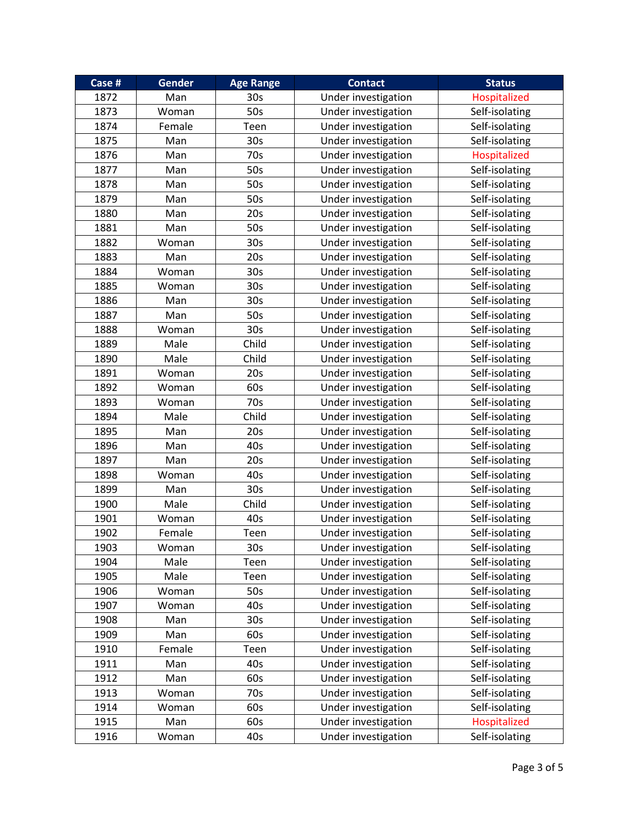| Case # | Gender | <b>Age Range</b> | <b>Contact</b>      | <b>Status</b>  |
|--------|--------|------------------|---------------------|----------------|
| 1872   | Man    | 30 <sub>s</sub>  | Under investigation | Hospitalized   |
| 1873   | Woman  | 50s              | Under investigation | Self-isolating |
| 1874   | Female | Teen             | Under investigation | Self-isolating |
| 1875   | Man    | 30 <sub>s</sub>  | Under investigation | Self-isolating |
| 1876   | Man    | 70s              | Under investigation | Hospitalized   |
| 1877   | Man    | 50s              | Under investigation | Self-isolating |
| 1878   | Man    | 50s              | Under investigation | Self-isolating |
| 1879   | Man    | 50s              | Under investigation | Self-isolating |
| 1880   | Man    | 20s              | Under investigation | Self-isolating |
| 1881   | Man    | 50s              | Under investigation | Self-isolating |
| 1882   | Woman  | 30 <sub>s</sub>  | Under investigation | Self-isolating |
| 1883   | Man    | 20s              | Under investigation | Self-isolating |
| 1884   | Woman  | 30s              | Under investigation | Self-isolating |
| 1885   | Woman  | 30s              | Under investigation | Self-isolating |
| 1886   | Man    | 30 <sub>s</sub>  | Under investigation | Self-isolating |
| 1887   | Man    | 50s              | Under investigation | Self-isolating |
| 1888   | Woman  | 30s              | Under investigation | Self-isolating |
| 1889   | Male   | Child            | Under investigation | Self-isolating |
| 1890   | Male   | Child            | Under investigation | Self-isolating |
| 1891   | Woman  | 20s              | Under investigation | Self-isolating |
| 1892   | Woman  | 60s              | Under investigation | Self-isolating |
| 1893   | Woman  | 70s              | Under investigation | Self-isolating |
| 1894   | Male   | Child            | Under investigation | Self-isolating |
| 1895   | Man    | 20s              | Under investigation | Self-isolating |
| 1896   | Man    | 40s              | Under investigation | Self-isolating |
| 1897   | Man    | 20s              | Under investigation | Self-isolating |
| 1898   | Woman  | 40s              | Under investigation | Self-isolating |
| 1899   | Man    | 30 <sub>s</sub>  | Under investigation | Self-isolating |
| 1900   | Male   | Child            | Under investigation | Self-isolating |
| 1901   | Woman  | 40s              | Under investigation | Self-isolating |
| 1902   | Female | Teen             | Under investigation | Self-isolating |
| 1903   | Woman  | 30 <sub>s</sub>  | Under investigation | Self-isolating |
| 1904   | Male   | Teen             | Under investigation | Self-isolating |
| 1905   | Male   | Teen             | Under investigation | Self-isolating |
| 1906   | Woman  | 50s              | Under investigation | Self-isolating |
| 1907   | Woman  | 40s              | Under investigation | Self-isolating |
| 1908   | Man    | 30s              | Under investigation | Self-isolating |
| 1909   | Man    | 60s              | Under investigation | Self-isolating |
| 1910   | Female | Teen             | Under investigation | Self-isolating |
| 1911   | Man    | 40s              | Under investigation | Self-isolating |
| 1912   | Man    | 60s              | Under investigation | Self-isolating |
| 1913   | Woman  | 70s              | Under investigation | Self-isolating |
| 1914   | Woman  | 60s              | Under investigation | Self-isolating |
| 1915   | Man    | 60s              | Under investigation | Hospitalized   |
| 1916   | Woman  | 40s              | Under investigation | Self-isolating |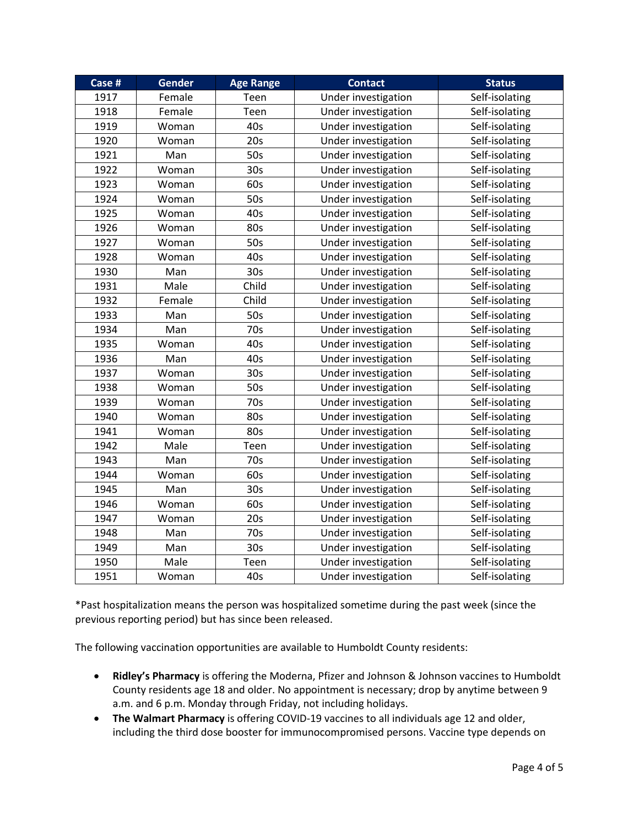| Case # | <b>Gender</b> | <b>Age Range</b> | <b>Contact</b>      | <b>Status</b>  |
|--------|---------------|------------------|---------------------|----------------|
| 1917   | Female        | Teen             | Under investigation | Self-isolating |
| 1918   | Female        | Teen             | Under investigation | Self-isolating |
| 1919   | Woman         | 40s              | Under investigation | Self-isolating |
| 1920   | Woman         | 20s              | Under investigation | Self-isolating |
| 1921   | Man           | 50s              | Under investigation | Self-isolating |
| 1922   | Woman         | 30 <sub>s</sub>  | Under investigation | Self-isolating |
| 1923   | Woman         | 60s              | Under investigation | Self-isolating |
| 1924   | Woman         | 50s              | Under investigation | Self-isolating |
| 1925   | Woman         | 40s              | Under investigation | Self-isolating |
| 1926   | Woman         | 80s              | Under investigation | Self-isolating |
| 1927   | Woman         | 50s              | Under investigation | Self-isolating |
| 1928   | Woman         | 40s              | Under investigation | Self-isolating |
| 1930   | Man           | 30 <sub>s</sub>  | Under investigation | Self-isolating |
| 1931   | Male          | Child            | Under investigation | Self-isolating |
| 1932   | Female        | Child            | Under investigation | Self-isolating |
| 1933   | Man           | 50s              | Under investigation | Self-isolating |
| 1934   | Man           | 70s              | Under investigation | Self-isolating |
| 1935   | Woman         | 40s              | Under investigation | Self-isolating |
| 1936   | Man           | 40s              | Under investigation | Self-isolating |
| 1937   | Woman         | 30s              | Under investigation | Self-isolating |
| 1938   | Woman         | 50s              | Under investigation | Self-isolating |
| 1939   | Woman         | 70s              | Under investigation | Self-isolating |
| 1940   | Woman         | 80s              | Under investigation | Self-isolating |
| 1941   | Woman         | 80s              | Under investigation | Self-isolating |
| 1942   | Male          | Teen             | Under investigation | Self-isolating |
| 1943   | Man           | 70s              | Under investigation | Self-isolating |
| 1944   | Woman         | 60s              | Under investigation | Self-isolating |
| 1945   | Man           | 30 <sub>s</sub>  | Under investigation | Self-isolating |
| 1946   | Woman         | 60s              | Under investigation | Self-isolating |
| 1947   | Woman         | 20s              | Under investigation | Self-isolating |
| 1948   | Man           | 70s              | Under investigation | Self-isolating |
| 1949   | Man           | 30 <sub>s</sub>  | Under investigation | Self-isolating |
| 1950   | Male          | Teen             | Under investigation | Self-isolating |
| 1951   | Woman         | 40s              | Under investigation | Self-isolating |

\*Past hospitalization means the person was hospitalized sometime during the past week (since the previous reporting period) but has since been released.

The following vaccination opportunities are available to Humboldt County residents:

- **Ridley's Pharmacy** is offering the Moderna, Pfizer and Johnson & Johnson vaccines to Humboldt County residents age 18 and older. No appointment is necessary; drop by anytime between 9 a.m. and 6 p.m. Monday through Friday, not including holidays.
- **The Walmart Pharmacy** is offering COVID-19 vaccines to all individuals age 12 and older, including the third dose booster for immunocompromised persons. Vaccine type depends on